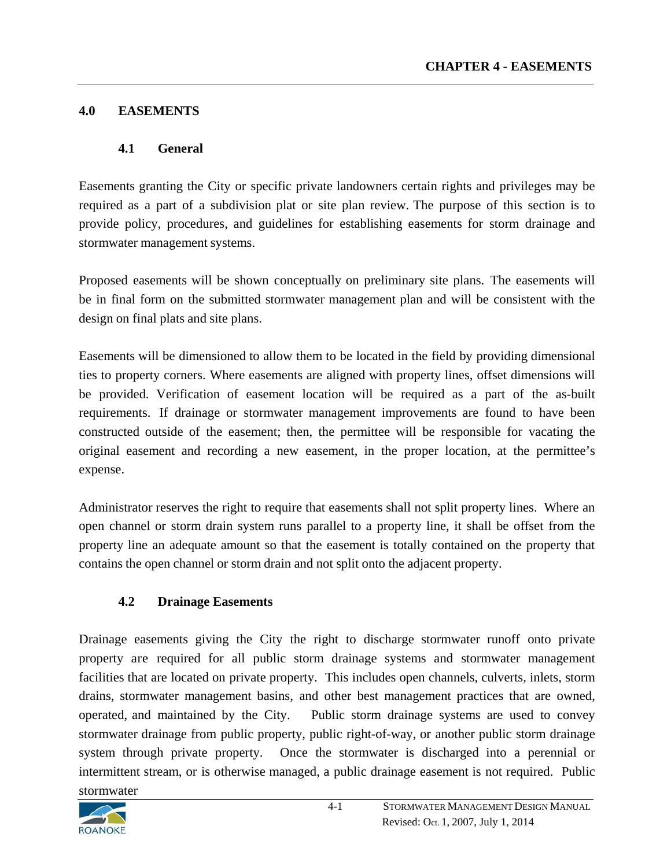#### **4.0 EASEMENTS**

#### **4.1 General**

Easements granting the City or specific private landowners certain rights and privileges may be required as a part of a subdivision plat or site plan review. The purpose of this section is to provide policy, procedures, and guidelines for establishing easements for storm drainage and stormwater management systems.

Proposed easements will be shown conceptually on preliminary site plans. The easements will be in final form on the submitted stormwater management plan and will be consistent with the design on final plats and site plans.

Easements will be dimensioned to allow them to be located in the field by providing dimensional ties to property corners. Where easements are aligned with property lines, offset dimensions will be provided. Verification of easement location will be required as a part of the as-built requirements. If drainage or stormwater management improvements are found to have been constructed outside of the easement; then, the permittee will be responsible for vacating the original easement and recording a new easement, in the proper location, at the permittee's expense.

Administrator reserves the right to require that easements shall not split property lines. Where an open channel or storm drain system runs parallel to a property line, it shall be offset from the property line an adequate amount so that the easement is totally contained on the property that contains the open channel or storm drain and not split onto the adjacent property.

## **4.2 Drainage Easements**

Drainage easements giving the City the right to discharge stormwater runoff onto private property are required for all public storm drainage systems and stormwater management facilities that are located on private property. This includes open channels, culverts, inlets, storm drains, stormwater management basins, and other best management practices that are owned, operated, and maintained by the City. Public storm drainage systems are used to convey stormwater drainage from public property, public right-of-way, or another public storm drainage system through private property. Once the stormwater is discharged into a perennial or intermittent stream, or is otherwise managed, a public drainage easement is not required. Public stormwater

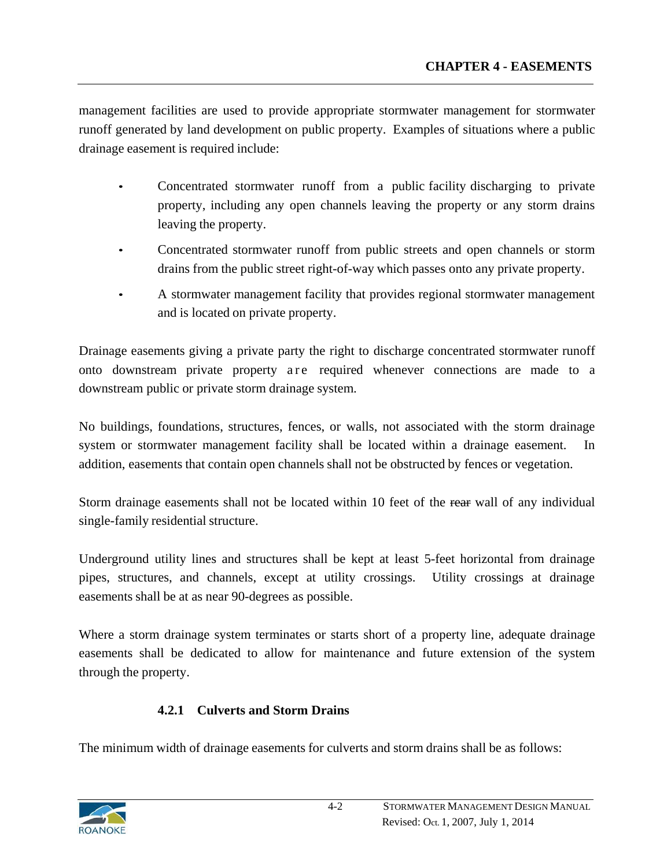management facilities are used to provide appropriate stormwater management for stormwater runoff generated by land development on public property. Examples of situations where a public drainage easement is required include:

- Concentrated stormwater runoff from a public facility discharging to private property, including any open channels leaving the property or any storm drains leaving the property.
- Concentrated stormwater runoff from public streets and open channels or storm drains from the public street right-of-way which passes onto any private property.
- A stormwater management facility that provides regional stormwater management and is located on private property.

Drainage easements giving a private party the right to discharge concentrated stormwater runoff onto downstream private property a re required whenever connections are made to a downstream public or private storm drainage system.

No buildings, foundations, structures, fences, or walls, not associated with the storm drainage system or stormwater management facility shall be located within a drainage easement. In addition, easements that contain open channels shall not be obstructed by fences or vegetation.

Storm drainage easements shall not be located within 10 feet of the rear wall of any individual single-family residential structure.

Underground utility lines and structures shall be kept at least 5-feet horizontal from drainage pipes, structures, and channels, except at utility crossings. Utility crossings at drainage easements shall be at as near 90-degrees as possible.

Where a storm drainage system terminates or starts short of a property line, adequate drainage easements shall be dedicated to allow for maintenance and future extension of the system through the property.

# **4.2.1 Culverts and Storm Drains**

The minimum width of drainage easements for culverts and storm drains shall be as follows:

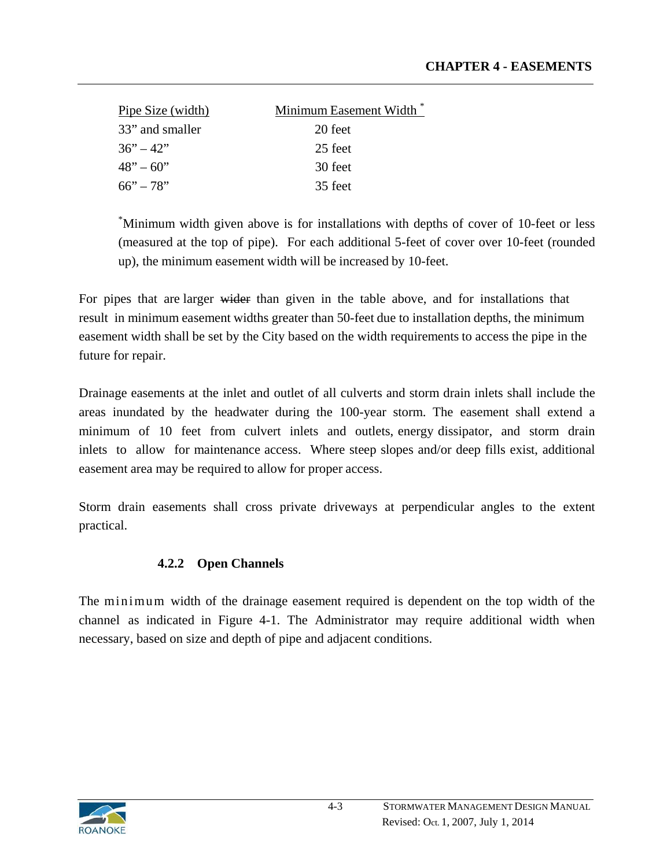| Pipe Size (width)     | Minimum Easement Width |
|-----------------------|------------------------|
| 33" and smaller       | 20 feet                |
| $36^\circ - 42^\circ$ | 25 feet                |
| $48" - 60"$           | 30 feet                |
| $66" - 78"$           | 35 feet                |

\* Minimum width given above is for installations with depths of cover of 10-feet or less (measured at the top of pipe). For each additional 5-feet of cover over 10-feet (rounded up), the minimum easement width will be increased by 10-feet.

For pipes that are larger wider than given in the table above, and for installations that result in minimum easement widths greater than 50-feet due to installation depths, the minimum easement width shall be set by the City based on the width requirements to access the pipe in the future for repair.

Drainage easements at the inlet and outlet of all culverts and storm drain inlets shall include the areas inundated by the headwater during the 100-year storm. The easement shall extend a minimum of 10 feet from culvert inlets and outlets, energy dissipator, and storm drain inlets to allow for maintenance access. Where steep slopes and/or deep fills exist, additional easement area may be required to allow for proper access.

Storm drain easements shall cross private driveways at perpendicular angles to the extent practical.

## **4.2.2 Open Channels**

The minimum width of the drainage easement required is dependent on the top width of the channel as indicated in Figure 4-1. The Administrator may require additional width when necessary, based on size and depth of pipe and adjacent conditions.

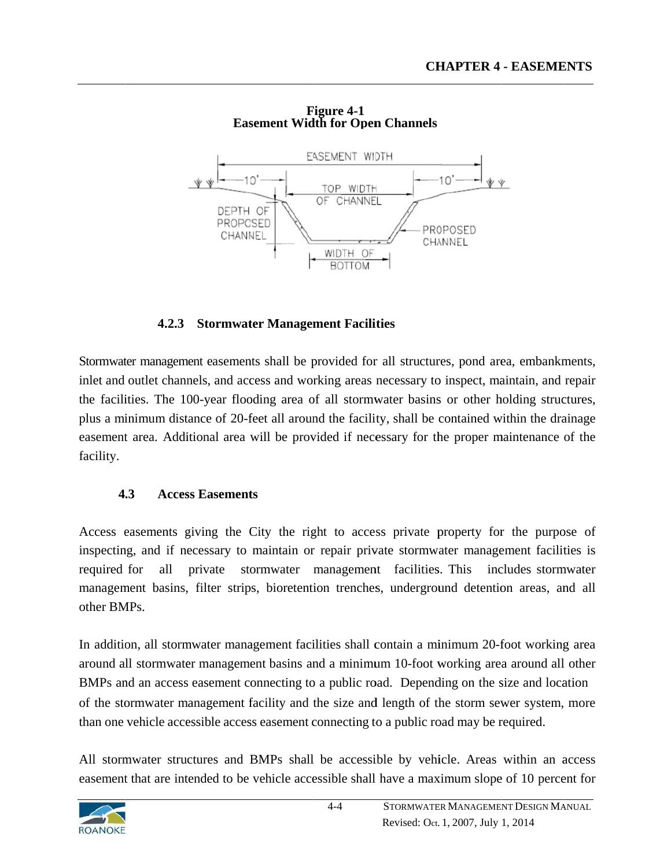

**Easement Width for Open Channels F Figure 4-1**

## **4.2.3 Stormwater Management Facilities**

Stormwater management easements shall be provided for all structures, pond area, embankments, inlet and outlet channels, and access and working areas necessary to inspect, maintain, and repair the facilities. The 100-year flooding area of all stormwater basins or other holding structures, plus a minimum distance of 20-feet all around the facility, shall be contained within the drainage easement area. Additional area will be provided if necessary for the proper maintenance of the facility.

#### **4 .3** Access Easements

Access easements giving the City the right to access private property for the purpose of inspecting, and if necessary to maintain or repair private stormwater management facilities is required management basins, filter strips, bioretention trenches, underground detention areas, and all other BM MPs. all private ormwater management facilities. This includes stormwater

In addition, all stormwater management facilities shall contain a minimum 20-foot working area around all stormwater management basins and a minimum 10-foot working area around all other BMPs and an access easement connecting to a public road. Depending on the size and location of the stormwater management facility and the size and length of the storm sewer system, more than one vehicle accessible access easement connecting to a public road may be required.

All stormwater structures and BMPs shall be accessible by vehicle. Areas within an access easement that are intended to be vehicle accessible shall have a maximum slope of 10 percent for

4-4